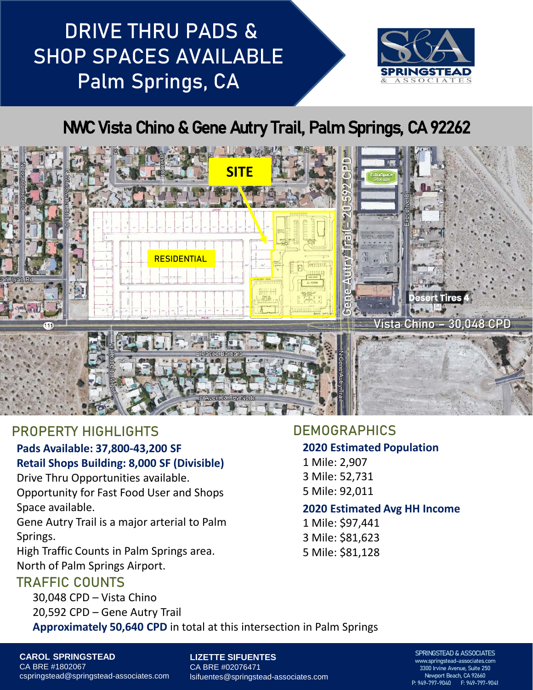# DRIVE THRU PADS & SHOP SPACES AVAILABLE Palm Springs, CA



# NWC Vista Chino & Gene Autry Trail, Palm Springs, CA 92262



## PROPERTY HIGHLIGHTS

### **Pads Available: 37,800-43,200 SF Retail Shops Building: 8,000 SF (Divisible)**

Drive Thru Opportunities available.

Opportunity for Fast Food User and Shops Space available.

Gene Autry Trail is a major arterial to Palm Springs.

High Traffic Counts in Palm Springs area. North of Palm Springs Airport.

## TRAFFIC COUNTS

30,048 CPD – Vista Chino 20,592 CPD – Gene Autry Trail

#### **DEMOGRAPHICS**

#### **2020 Estimated Population**

1 Mile: 2,907 3 Mile: 52,731 5 Mile: 92,011

#### **2020 Estimated Avg HH Income**

1 Mile: \$97,441 3 Mile: \$81,623 5 Mile: \$81,128

**Approximately 50,640 CPD** in total at this intersection in Palm Springs

**CAROL SPRINGSTEAD** CA BRE #1802067 cspringstead@springstead-associates.com

**LIZETTE SIFUENTES** CA BRE #02076471 lsifuentes@springstead-associates.com

#### SPRINGSTEAD & ASSOCIATES www.springstead-associates.com 3300 Irvine Avenue, Suite 250 Newport Beach, CA 92660 P: 949-797-9040 F: 949-797-9041